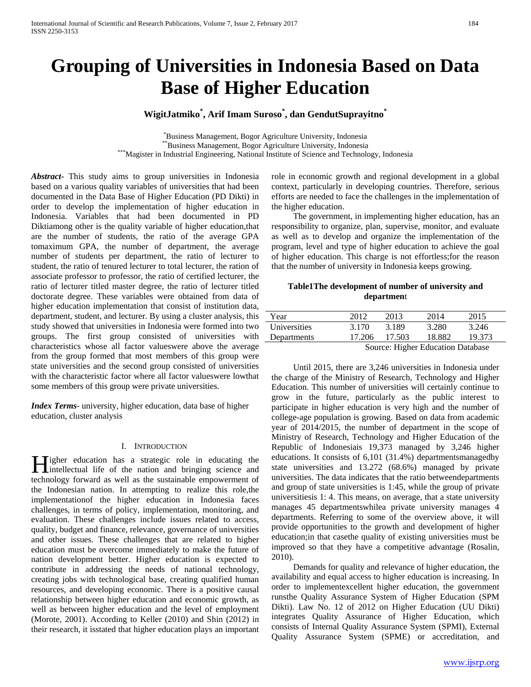# **Grouping of Universities in Indonesia Based on Data Base of Higher Education**

# **WigitJatmiko\* , Arif Imam Suroso\* , dan GendutSuprayitno\***

\*Business Management, Bogor Agriculture University, Indonesia Business Management, Bogor Agriculture University, Indonesia \*\*Business Management, Bogor Agriculture University, Indonesia \*\*\*Magister in Industrial Engineering, National Institute of Science and Technology, Indonesia

*Abstract***-** This study aims to group universities in Indonesia based on a various quality variables of universities that had been documented in the Data Base of Higher Education (PD Dikti) in order to develop the implementation of higher education in Indonesia. Variables that had been documented in PD Diktiamong other is the quality variable of higher education,that are the number of students, the ratio of the average GPA tomaximum GPA, the number of department, the average number of students per department, the ratio of lecturer to student, the ratio of tenured lecturer to total lecturer, the ration of associate professor to professor, the ratio of certified lecturer, the ratio of lecturer titled master degree, the ratio of lecturer titled doctorate degree. These variables were obtained from data of higher education implementation that consist of institution data, department, student, and lecturer. By using a cluster analysis, this study showed that universities in Indonesia were formed into two groups. The first group consisted of universities with characteristics whose all factor valueswere above the average from the group formed that most members of this group were state universities and the second group consisted of universities with the characteristic factor where all factor valueswere lowthat some members of this group were private universities.

*Index Terms*- university, higher education, data base of higher education, cluster analysis

#### I. INTRODUCTION

**Tigher** education has a strategic role in educating the **intellectual life of the nation and bringing science and life of the nation and bringing science and** technology forward as well as the sustainable empowerment of the Indonesian nation. In attempting to realize this role,the implementationof the higher education in Indonesia faces challenges, in terms of policy, implementation, monitoring, and evaluation. These challenges include issues related to access, quality, budget and finance, relevance, governance of universities and other issues. These challenges that are related to higher education must be overcome immediately to make the future of nation development better. Higher education is expected to contribute in addressing the needs of national technology, creating jobs with technological base, creating qualified human resources, and developing economic. There is a positive causal relationship between higher education and economic growth, as well as between higher education and the level of employment (Morote, 2001). According to Keller (2010) and Shin (2012) in their research, it isstated that higher education plays an important

role in economic growth and regional development in a global context, particularly in developing countries. Therefore, serious efforts are needed to face the challenges in the implementation of the higher education.

 The government, in implementing higher education, has an responsibility to organize, plan, supervise, monitor, and evaluate as well as to develop and organize the implementation of the program, level and type of higher education to achieve the goal of higher education. This charge is not effortless;for the reason that the number of university in Indonesia keeps growing.

## **Table1The development of number of university and departmen**t

| Year         | 2012   | 2013                                        | 2014   | 2015   |
|--------------|--------|---------------------------------------------|--------|--------|
| Universities | 3.170  | 3.189                                       | 3.280  | 3.246  |
| Departments  | 17.206 | 17.503                                      | 18.882 | 19.373 |
|              |        | $\alpha$ II' I $\Gamma$ I $\Gamma$ $\Gamma$ |        |        |

Source: Higher Education Database

 Until 2015, there are 3,246 universities in Indonesia under the charge of the Ministry of Research, Technology and Higher Education. This number of universities will certainly continue to grow in the future, particularly as the public interest to participate in higher education is very high and the number of college-age population is growing. Based on data from academic year of 2014/2015, the number of department in the scope of Ministry of Research, Technology and Higher Education of the Republic of Indonesiais 19,373 managed by 3,246 higher educations. It consists of 6,101 (31.4%) departmentsmanagedby state universities and 13.272 (68.6%) managed by private universities. The data indicates that the ratio betweendepartments and group of state universities is 1:45, while the group of private universitiesis 1: 4. This means, on average, that a state university manages 45 departmentswhilea private university manages 4 departments. Referring to some of the overview above, it will provide opportunities to the growth and development of higher education;in that casethe quality of existing universities must be improved so that they have a competitive advantage (Rosalin, 2010).

 Demands for quality and relevance of higher education, the availability and equal access to higher education is increasing. In order to implementexcellent higher education, the government runsthe Quality Assurance System of Higher Education (SPM Dikti). Law No. 12 of 2012 on Higher Education (UU Dikti) integrates Quality Assurance of Higher Education, which consists of Internal Quality Assurance System (SPMI), External Quality Assurance System (SPME) or accreditation, and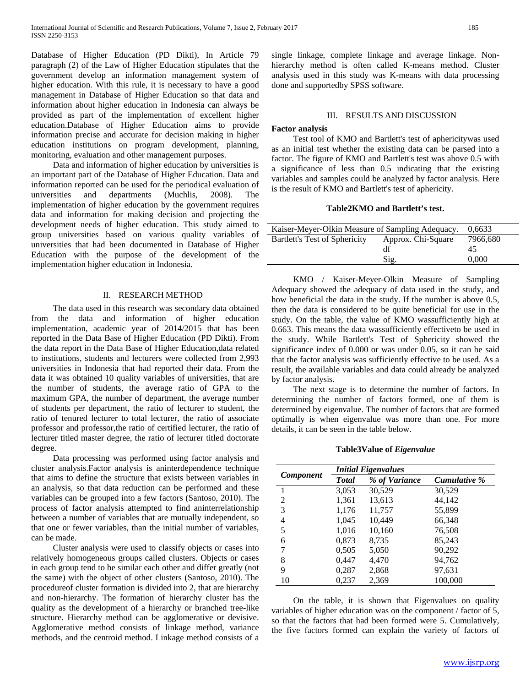Database of Higher Education (PD Dikti), In Article 79 paragraph (2) of the Law of Higher Education stipulates that the government develop an information management system of higher education. With this rule, it is necessary to have a good management in Database of Higher Education so that data and information about higher education in Indonesia can always be provided as part of the implementation of excellent higher education.Database of Higher Education aims to provide information precise and accurate for decision making in higher education institutions on program development, planning, monitoring, evaluation and other management purposes.

 Data and information of higher education by universities is an important part of the Database of Higher Education. Data and information reported can be used for the periodical evaluation of universities and departments (Muchlis, 2008). The implementation of higher education by the government requires data and information for making decision and projecting the development needs of higher education. This study aimed to group universities based on various quality variables of universities that had been documented in Database of Higher Education with the purpose of the development of the implementation higher education in Indonesia.

#### II. RESEARCH METHOD

 The data used in this research was secondary data obtained from the data and information of higher education implementation, academic year of 2014/2015 that has been reported in the Data Base of Higher Education (PD Dikti). From the data report in the Data Base of Higher Education,data related to institutions, students and lecturers were collected from 2,993 universities in Indonesia that had reported their data. From the data it was obtained 10 quality variables of universities, that are the number of students, the average ratio of GPA to the maximum GPA, the number of department, the average number of students per department, the ratio of lecturer to student, the ratio of tenured lecturer to total lecturer, the ratio of associate professor and professor,the ratio of certified lecturer, the ratio of lecturer titled master degree, the ratio of lecturer titled doctorate degree.

 Data processing was performed using factor analysis and cluster analysis.Factor analysis is aninterdependence technique that aims to define the structure that exists between variables in an analysis, so that data reduction can be performed and these variables can be grouped into a few factors (Santoso, 2010). The process of factor analysis attempted to find aninterrelationship between a number of variables that are mutually independent, so that one or fewer variables, than the initial number of variables, can be made.

 Cluster analysis were used to classify objects or cases into relatively homogeneous groups called clusters. Objects or cases in each group tend to be similar each other and differ greatly (not the same) with the object of other clusters (Santoso, 2010). The procedureof cluster formation is divided into 2, that are hierarchy and non-hierarchy. The formation of hierarchy cluster has the quality as the development of a hierarchy or branched tree-like structure. Hierarchy method can be agglomerative or devisive. Agglomerative method consists of linkage method, variance methods, and the centroid method. Linkage method consists of a

single linkage, complete linkage and average linkage. Nonhierarchy method is often called K-means method. Cluster analysis used in this study was K-means with data processing done and supportedby SPSS software.

#### III. RESULTS AND DISCUSSION

#### **Factor analysis**

 Test tool of KMO and Bartlett's test of aphericitywas used as an initial test whether the existing data can be parsed into a factor. The figure of KMO and Bartlett's test was above 0.5 with a significance of less than 0.5 indicating that the existing variables and samples could be analyzed by factor analysis. Here is the result of KMO and Bartlett's test of aphericity.

#### **Table2KMO and Bartlett's test.**

| Kaiser-Meyer-Olkin Measure of Sampling Adequacy. | 0,6633                         |       |
|--------------------------------------------------|--------------------------------|-------|
| Bartlett's Test of Sphericity                    | 7966,680<br>Approx. Chi-Square |       |
|                                                  | df                             | 45    |
|                                                  | Sig.                           | 0.000 |

 KMO / Kaiser-Meyer-Olkin Measure of Sampling Adequacy showed the adequacy of data used in the study, and how beneficial the data in the study. If the number is above 0.5, then the data is considered to be quite beneficial for use in the study. On the table, the value of KMO wassufficiently high at 0.663. This means the data wassufficiently effectiveto be used in the study. While Bartlett's Test of Sphericity showed the significance index of 0.000 or was under 0.05, so it can be said that the factor analysis was sufficiently effective to be used. As a result, the available variables and data could already be analyzed by factor analysis.

 The next stage is to determine the number of factors. In determining the number of factors formed, one of them is determined by eigenvalue. The number of factors that are formed optimally is when eigenvalue was more than one. For more details, it can be seen in the table below.

**Table3Value of** *Eigenvalue*

|                  | <b>Initial Eigenvalues</b> |               |              |  |  |
|------------------|----------------------------|---------------|--------------|--|--|
| <b>Component</b> | <b>Total</b>               | % of Variance | Cumulative % |  |  |
| 1                | 3,053                      | 30,529        | 30,529       |  |  |
| 2                | 1,361                      | 13,613        | 44,142       |  |  |
| 3                | 1,176                      | 11,757        | 55,899       |  |  |
| 4                | 1,045                      | 10,449        | 66,348       |  |  |
| 5                | 1,016                      | 10,160        | 76,508       |  |  |
| 6                | 0,873                      | 8,735         | 85,243       |  |  |
| 7                | 0,505                      | 5,050         | 90,292       |  |  |
| 8                | 0,447                      | 4,470         | 94,762       |  |  |
| 9                | 0,287                      | 2,868         | 97,631       |  |  |
| 10               | 0,237                      | 2,369         | 100,000      |  |  |

 On the table, it is shown that Eigenvalues on quality variables of higher education was on the component / factor of 5, so that the factors that had been formed were 5. Cumulatively, the five factors formed can explain the variety of factors of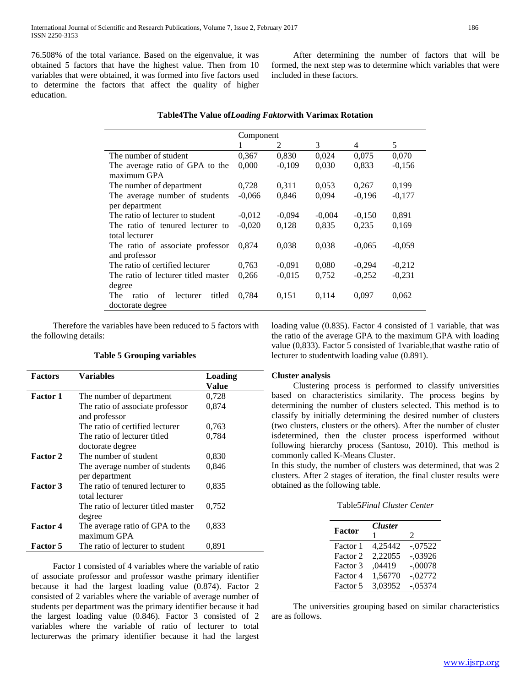76.508% of the total variance. Based on the eigenvalue, it was obtained 5 factors that have the highest value. Then from 10 variables that were obtained, it was formed into five factors used to determine the factors that affect the quality of higher education.

 After determining the number of factors that will be formed, the next step was to determine which variables that were included in these factors.

|                                          | Component |          |          |          |          |
|------------------------------------------|-----------|----------|----------|----------|----------|
|                                          |           | 2        | 3        | 4        | 5        |
| The number of student                    | 0,367     | 0,830    | 0,024    | 0,075    | 0,070    |
| The average ratio of GPA to the          | 0,000     | $-0,109$ | 0,030    | 0,833    | $-0,156$ |
| maximum GPA                              |           |          |          |          |          |
| The number of department                 | 0,728     | 0,311    | 0,053    | 0,267    | 0,199    |
| The average number of students           | $-0,066$  | 0,846    | 0,094    | $-0,196$ | $-0,177$ |
| per department                           |           |          |          |          |          |
| The ratio of lecturer to student         | $-0.012$  | $-0,094$ | $-0.004$ | $-0,150$ | 0,891    |
| The ratio of tenured lecturer to         | $-0,020$  | 0,128    | 0,835    | 0,235    | 0,169    |
| total lecturer                           |           |          |          |          |          |
| The ratio of associate professor         | 0.874     | 0,038    | 0,038    | $-0.065$ | $-0.059$ |
| and professor                            |           |          |          |          |          |
| The ratio of certified lecturer          | 0.763     | $-0,091$ | 0,080    | $-0.294$ | $-0,212$ |
| The ratio of lecturer titled master      | 0,266     | $-0.015$ | 0,752    | $-0,252$ | $-0.231$ |
| degree                                   |           |          |          |          |          |
| titled<br>The<br>of<br>ratio<br>lecturer | 0,784     | 0,151    | 0,114    | 0,097    | 0,062    |
| doctorate degree                         |           |          |          |          |          |

 Therefore the variables have been reduced to 5 factors with the following details:

## **Table 5 Grouping variables**

| <b>Factors</b>  | Variables                           | Loading |
|-----------------|-------------------------------------|---------|
|                 |                                     | Value   |
| <b>Factor 1</b> | The number of department            | 0,728   |
|                 | The ratio of associate professor    | 0,874   |
|                 | and professor                       |         |
|                 | The ratio of certified lecturer     | 0,763   |
|                 | The ratio of lecturer titled        | 0,784   |
|                 | doctorate degree                    |         |
| <b>Factor 2</b> | The number of student               | 0,830   |
|                 | The average number of students      | 0,846   |
|                 | per department                      |         |
| <b>Factor 3</b> | The ratio of tenured lecturer to    | 0,835   |
|                 | total lecturer                      |         |
|                 | The ratio of lecturer titled master | 0,752   |
|                 | degree                              |         |
| Factor 4        | The average ratio of GPA to the     | 0.833   |
|                 | maximum GPA                         |         |
| Factor 5        | The ratio of lecturer to student    | 0.891   |

 Factor 1 consisted of 4 variables where the variable of ratio of associate professor and professor wasthe primary identifier because it had the largest loading value (0.874). Factor 2 consisted of 2 variables where the variable of average number of students per department was the primary identifier because it had the largest loading value (0.846). Factor 3 consisted of 2 variables where the variable of ratio of lecturer to total lecturerwas the primary identifier because it had the largest loading value (0.835). Factor 4 consisted of 1 variable, that was the ratio of the average GPA to the maximum GPA with loading value (0,833). Factor 5 consisted of 1variable,that wasthe ratio of lecturer to studentwith loading value (0.891).

#### **Cluster analysis**

 Clustering process is performed to classify universities based on characteristics similarity. The process begins by determining the number of clusters selected. This method is to classify by initially determining the desired number of clusters (two clusters, clusters or the others). After the number of cluster isdetermined, then the cluster process isperformed without following hierarchy process (Santoso, 2010). This method is commonly called K-Means Cluster.

In this study, the number of clusters was determined, that was 2 clusters. After 2 stages of iteration, the final cluster results were obtained as the following table.

| Table5 <i>Final Cluster Center</i> |  |  |
|------------------------------------|--|--|
|------------------------------------|--|--|

|          | <b>Cluster</b> |           |
|----------|----------------|-----------|
| Factor   |                | 2         |
| Factor 1 | 4.25442        | $-.07522$ |
| Factor 2 | 2,22055        | $-.03926$ |
| Factor 3 | ,04419         | $-.00078$ |
| Factor 4 | 1,56770        | $-.02772$ |
| Factor 5 | 3,03952        | $-.05374$ |

 The universities grouping based on similar characteristics are as follows.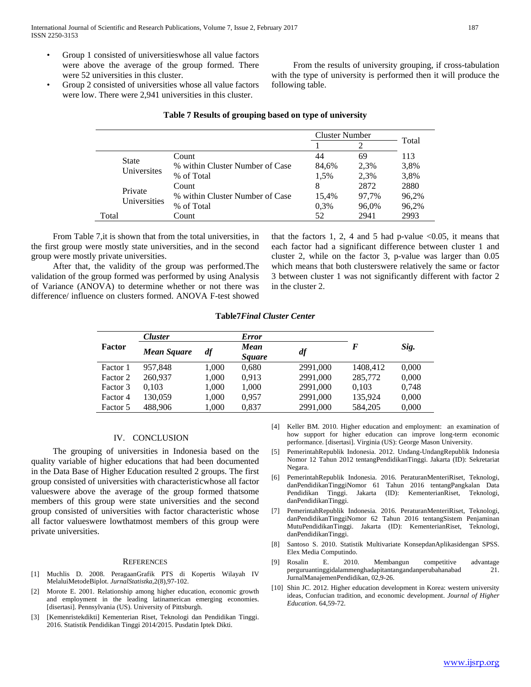- Group 1 consisted of universitieswhose all value factors were above the average of the group formed. There were 52 universities in this cluster.
- Group 2 consisted of universities whose all value factors were low. There were 2,941 universities in this cluster.

 From the results of university grouping, if cross-tabulation with the type of university is performed then it will produce the following table.

|                             |                                 |       | <b>Cluster Number</b> |       |       |
|-----------------------------|---------------------------------|-------|-----------------------|-------|-------|
|                             |                                 |       |                       | 2     | Total |
|                             |                                 | Count | 44                    | 69    | 113   |
| <b>State</b><br>Universites | % within Cluster Number of Case | 84.6% | 2.3%                  | 3.8%  |       |
|                             | % of Total                      | 1.5%  | 2.3%                  | 3,8%  |       |
| Private<br>Universities     | Count                           | 8     | 2872                  | 2880  |       |
|                             | % within Cluster Number of Case | 15.4% | 97,7%                 | 96.2% |       |
|                             | % of Total                      | 0,3%  | 96,0%                 | 96,2% |       |
| Total                       |                                 | Count | 52                    | 2941  | 2993  |

#### **Table 7 Results of grouping based on type of university**

 From Table 7,it is shown that from the total universities, in the first group were mostly state universities, and in the second group were mostly private universities.

 After that, the validity of the group was performed.The validation of the group formed was performed by using Analysis of Variance (ANOVA) to determine whether or not there was difference/ influence on clusters formed. ANOVA F-test showed that the factors 1, 2, 4 and 5 had p-value  $<0.05$ , it means that each factor had a significant difference between cluster 1 and cluster 2, while on the factor 3, p-value was larger than 0.05 which means that both clusterswere relatively the same or factor 3 between cluster 1 was not significantly different with factor 2 in the cluster 2.

#### **Table7***Final Cluster Center*

|          | <b>Cluster</b>     |       | <b>Error</b>          |          |          |       |
|----------|--------------------|-------|-----------------------|----------|----------|-------|
| Factor   | <b>Mean Square</b> | df    | Mean<br><i>Square</i> | df       | F        | Sig.  |
| Factor 1 | 957.848            | 1,000 | 0.680                 | 2991,000 | 1408,412 | 0,000 |
| Factor 2 | 260,937            | 1,000 | 0.913                 | 2991,000 | 285,772  | 0,000 |
| Factor 3 | 0.103              | 1,000 | 1,000                 | 2991,000 | 0.103    | 0,748 |
| Factor 4 | 130,059            | 1,000 | 0.957                 | 2991,000 | 135,924  | 0,000 |
| Factor 5 | 488.906            | 1.000 | 0.837                 | 2991,000 | 584,205  | 0,000 |

#### IV. CONCLUSION

 The grouping of universities in Indonesia based on the quality variable of higher educations that had been documented in the Data Base of Higher Education resulted 2 groups. The first group consisted of universities with characteristicwhose all factor valueswere above the average of the group formed thatsome members of this group were state universities and the second group consisted of universities with factor characteristic whose all factor valueswere lowthatmost members of this group were private universities.

#### **REFERENCES**

- [1] Muchlis D. 2008. PeragaanGrafik PTS di Kopertis Wilayah IV MelaluiMetodeBiplot. *JurnalStatistka*,2(8),97-102.
- [2] Morote E. 2001. Relationship among higher education, economic growth and employment in the leading latinamerican emerging economies. [disertasi]. Pennsylvania (US). University of Pittsburgh.
- [3] [Kemenristekdikti] Kementerian Riset, Teknologi dan Pendidikan Tinggi. 2016. Statistik Pendidikan Tinggi 2014/2015. Pusdatin Iptek Dikti.
- [4] Keller BM. 2010. Higher education and employment: an examination of how support for higher education can improve long-term economic performance. [disertasi]. Virginia (US): George Mason University.
- [5] PemerintahRepublik Indonesia. 2012. Undang-UndangRepublik Indonesia Nomor 12 Tahun 2012 tentangPendidikanTinggi. Jakarta (ID): Sekretariat Negara.
- [6] PemerintahRepublik Indonesia. 2016. PeraturanMenteriRiset, Teknologi, danPendidikanTinggiNomor 61 Tahun 2016 tentangPangkalan Data Pendidikan Tinggi. Jakarta (ID): KementerianRiset, Teknologi, danPendidikanTinggi.
- [7] PemerintahRepublik Indonesia. 2016. PeraturanMenteriRiset, Teknologi, danPendidikanTinggiNomor 62 Tahun 2016 tentangSistem Penjaminan MutuPendidikanTinggi. Jakarta (ID): KementerianRiset, Teknologi, danPendidikanTinggi.
- [8] Santoso S. 2010. Statistik Multivariate KonsepdanAplikasidengan SPSS. Elex Media Computindo.
- [9] Rosalin E. 2010. Membangun competitive advantage perguruantinggidalammenghadapitantangandanperubahanabad 21. JurnalManajemenPendidikan, 02,9-26.
- [10] Shin JC. 2012. Higher education development in Korea: western university ideas, Confucian tradition, and economic development. *Journal of Higher Education*. 64,59-72.